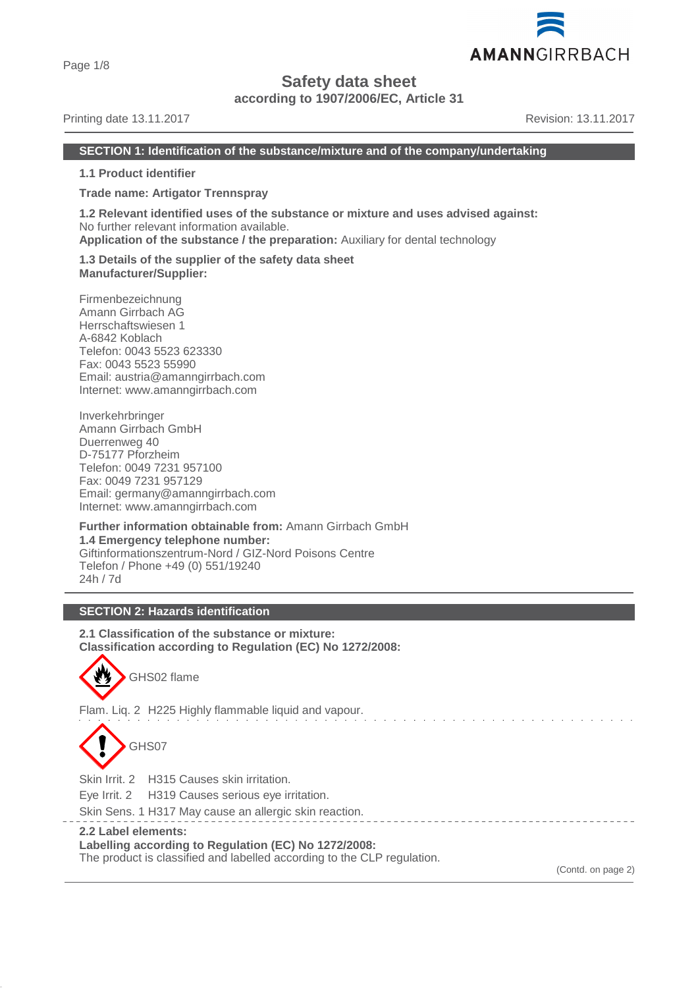Page 1/8

# **Safety data sheet**

**according to 1907/2006/EC, Article 31**

#### Printing date 13.11.2017 **Revision: 13.11.2017** Revision: 13.11.2017

AMANNGIRRBACH

#### **SECTION 1: Identification of the substance/mixture and of the company/undertaking**

**1.1 Product identifier**

**Trade name: Artigator Trennspray**

**1.2 Relevant identified uses of the substance or mixture and uses advised against:** No further relevant information available.

**Application of the substance / the preparation:** Auxiliary for dental technology

**1.3 Details of the supplier of the safety data sheet Manufacturer/Supplier:**

Firmenbezeichnung Amann Girrbach AG Herrschaftswiesen 1 A-6842 Koblach Telefon: 0043 5523 623330 Fax: 0043 5523 55990 Email: austria@amanngirrbach.com Internet: www.amanngirrbach.com

Inverkehrbringer Amann Girrbach GmbH Duerrenweg 40 D-75177 Pforzheim Telefon: 0049 7231 957100 Fax: 0049 7231 957129 Email: germany@amanngirrbach.com Internet: www.amanngirrbach.com

**Further information obtainable from:** Amann Girrbach GmbH **1.4 Emergency telephone number:** Giftinformationszentrum-Nord / GIZ-Nord Poisons Centre Telefon / Phone +49 (0) 551/19240 24h / 7d

## **SECTION 2: Hazards identification**

**2.1 Classification of the substance or mixture: Classification according to Regulation (EC) No 1272/2008:**

GHS02 flame

Flam. Liq. 2 H225 Highly flammable liquid and vapour.



Skin Irrit. 2 H315 Causes skin irritation.

Eye Irrit. 2 H319 Causes serious eye irritation.

Skin Sens. 1 H317 May cause an allergic skin reaction.

**2.2 Label elements:**

**Labelling according to Regulation (EC) No 1272/2008:**

The product is classified and labelled according to the CLP regulation.

(Contd. on page 2)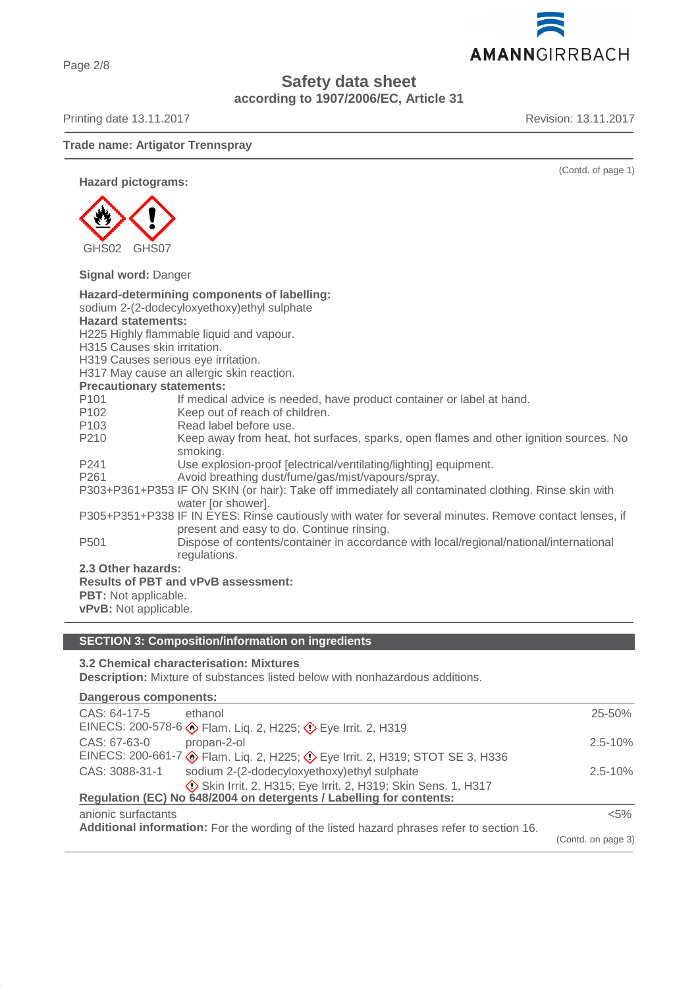Page 2/8

# **Safety data sheet according to 1907/2006/EC, Article 31**

Printing date 13.11.2017 **Revision: 13.11.2017** 

#### **Trade name: Artigator Trennspray**

**Hazard pictograms:**



**Signal word:** Danger

| Hazard-determining components of labelling:                                                          |                                                                                                       |  |  |  |
|------------------------------------------------------------------------------------------------------|-------------------------------------------------------------------------------------------------------|--|--|--|
| sodium 2-(2-dodecyloxyethoxy)ethyl sulphate                                                          |                                                                                                       |  |  |  |
| <b>Hazard statements:</b>                                                                            |                                                                                                       |  |  |  |
| H225 Highly flammable liquid and vapour.                                                             |                                                                                                       |  |  |  |
| H315 Causes skin irritation.                                                                         |                                                                                                       |  |  |  |
| H319 Causes serious eye irritation.                                                                  |                                                                                                       |  |  |  |
| H317 May cause an allergic skin reaction.                                                            |                                                                                                       |  |  |  |
| <b>Precautionary statements:</b>                                                                     |                                                                                                       |  |  |  |
| P <sub>101</sub>                                                                                     | If medical advice is needed, have product container or label at hand.                                 |  |  |  |
| P102                                                                                                 | Keep out of reach of children.                                                                        |  |  |  |
| P103                                                                                                 | Read label before use.                                                                                |  |  |  |
| P210                                                                                                 | Keep away from heat, hot surfaces, sparks, open flames and other ignition sources. No                 |  |  |  |
|                                                                                                      | smoking.                                                                                              |  |  |  |
| P <sub>241</sub>                                                                                     | Use explosion-proof [electrical/ventilating/lighting] equipment.                                      |  |  |  |
| P <sub>261</sub>                                                                                     | Avoid breathing dust/fume/gas/mist/vapours/spray.                                                     |  |  |  |
| P303+P361+P353 IF ON SKIN (or hair): Take off immediately all contaminated clothing. Rinse skin with |                                                                                                       |  |  |  |
|                                                                                                      | water [or shower].                                                                                    |  |  |  |
|                                                                                                      | P305+P351+P338 IF IN EYES: Rinse cautiously with water for several minutes. Remove contact lenses, if |  |  |  |
|                                                                                                      | present and easy to do. Continue rinsing.                                                             |  |  |  |
| P <sub>501</sub>                                                                                     | Dispose of contents/container in accordance with local/regional/national/international                |  |  |  |
|                                                                                                      | regulations.                                                                                          |  |  |  |
| 2.3 Other hazards:                                                                                   |                                                                                                       |  |  |  |
| <b>Results of PBT and vPvB assessment:</b>                                                           |                                                                                                       |  |  |  |
| <b>PBT:</b> Not applicable.                                                                          |                                                                                                       |  |  |  |
| <b>vPvB:</b> Not applicable.                                                                         |                                                                                                       |  |  |  |

## **SECTION 3: Composition/information on ingredients**

## **3.2 Chemical characterisation: Mixtures**

**Description:** Mixture of substances listed below with nonhazardous additions.

| <b>Dangerous components:</b>                                                              |                                                                             |                    |  |
|-------------------------------------------------------------------------------------------|-----------------------------------------------------------------------------|--------------------|--|
| CAS: 64-17-5                                                                              | ethanol                                                                     | $25 - 50%$         |  |
|                                                                                           | EINECS: 200-578-6 S Flam. Liq. 2, H225; C Eye Irrit. 2, H319                |                    |  |
| CAS: 67-63-0                                                                              | propan-2-ol                                                                 | $2.5 - 10%$        |  |
|                                                                                           | EINECS: 200-661-7 SHam. Liq. 2, H225; O Eye Irrit. 2, H319; STOT SE 3, H336 |                    |  |
| CAS: 3088-31-1                                                                            | sodium 2-(2-dodecyloxyethoxy) ethyl sulphate                                | $2.5 - 10%$        |  |
|                                                                                           | Skin Irrit. 2, H315; Eye Irrit. 2, H319; Skin Sens. 1, H317                 |                    |  |
| Regulation (EC) No 648/2004 on detergents / Labelling for contents:                       |                                                                             |                    |  |
| anionic surfactants                                                                       |                                                                             | $< 5\%$            |  |
| Additional information: For the wording of the listed hazard phrases refer to section 16. |                                                                             |                    |  |
|                                                                                           |                                                                             | (Contd. on page 3) |  |



(Contd. of page 1)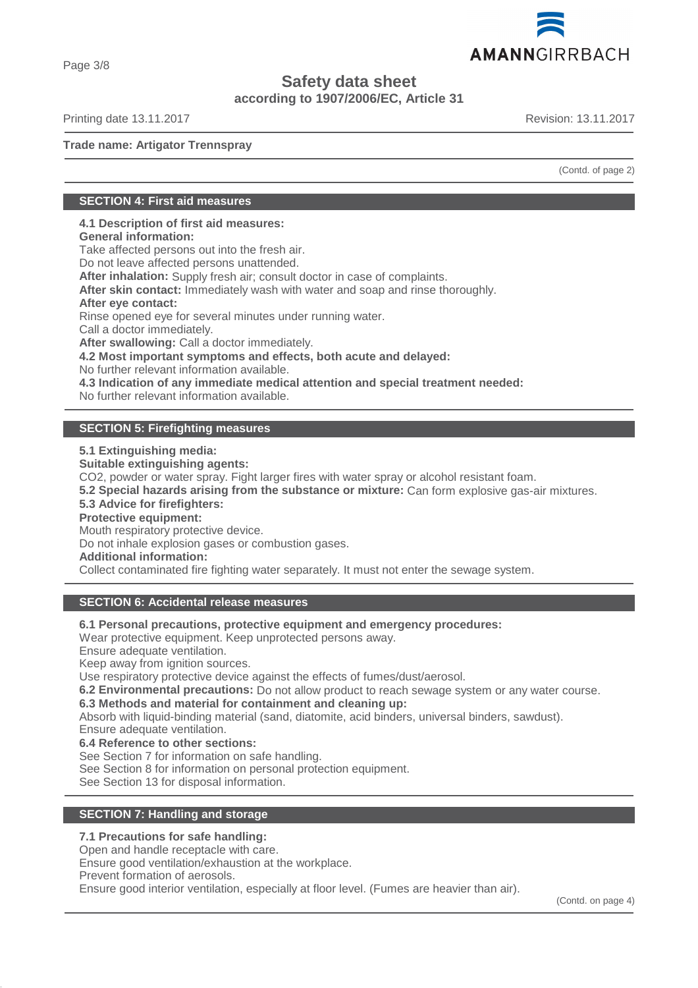

**Safety data sheet**

**according to 1907/2006/EC, Article 31**

Printing date 13.11.2017 **Revision: 13.11.2017** Revision: 13.11.2017

Page 3/8

**Trade name: Artigator Trennspray**

(Contd. of page 2)

## **SECTION 4: First aid measures**

**4.1 Description of first aid measures:**

**General information:**

Take affected persons out into the fresh air.

Do not leave affected persons unattended.

**After inhalation:** Supply fresh air; consult doctor in case of complaints.

**After skin contact:** Immediately wash with water and soap and rinse thoroughly.

#### **After eye contact:**

Rinse opened eye for several minutes under running water.

Call a doctor immediately.

**After swallowing:** Call a doctor immediately.

**4.2 Most important symptoms and effects, both acute and delayed:**

No further relevant information available.

**4.3 Indication of any immediate medical attention and special treatment needed:**

No further relevant information available.

## **SECTION 5: Firefighting measures**

**5.1 Extinguishing media:**

**Suitable extinguishing agents:**

CO2, powder or water spray. Fight larger fires with water spray or alcohol resistant foam.

**5.2 Special hazards arising from the substance or mixture:** Can form explosive gas-air mixtures.

**5.3 Advice for firefighters:**

**Protective equipment:**

Mouth respiratory protective device.

Do not inhale explosion gases or combustion gases.

**Additional information:**

Collect contaminated fire fighting water separately. It must not enter the sewage system.

## **SECTION 6: Accidental release measures**

**6.1 Personal precautions, protective equipment and emergency procedures:**

Wear protective equipment. Keep unprotected persons away.

Ensure adequate ventilation.

Keep away from ignition sources.

Use respiratory protective device against the effects of fumes/dust/aerosol.

**6.2 Environmental precautions:** Do not allow product to reach sewage system or any water course.

**6.3 Methods and material for containment and cleaning up:**

Absorb with liquid-binding material (sand, diatomite, acid binders, universal binders, sawdust).

Ensure adequate ventilation.

**6.4 Reference to other sections:**

See Section 7 for information on safe handling.

See Section 8 for information on personal protection equipment.

See Section 13 for disposal information.

## **SECTION 7: Handling and storage**

#### **7.1 Precautions for safe handling:**

Open and handle receptacle with care.

Ensure good ventilation/exhaustion at the workplace.

Prevent formation of aerosols.

Ensure good interior ventilation, especially at floor level. (Fumes are heavier than air).

(Contd. on page 4)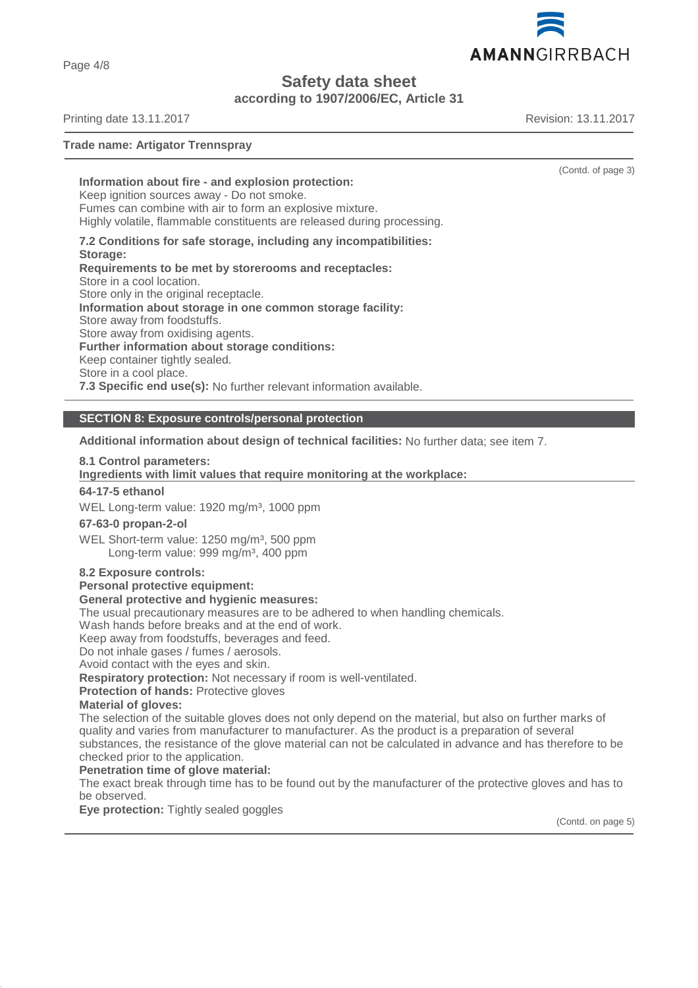AMANNGIRRBACH

**Safety data sheet**

**according to 1907/2006/EC, Article 31**

Printing date 13.11.2017 **Revision: 13.11.2017** Revision: 13.11.2017

**Trade name: Artigator Trennspray**

**Information about fire - and explosion protection:**

Keep ignition sources away - Do not smoke. Fumes can combine with air to form an explosive mixture.

Highly volatile, flammable constituents are released during processing.

**7.2 Conditions for safe storage, including any incompatibilities:**

**Storage: Requirements to be met by storerooms and receptacles:** Store in a cool location. Store only in the original receptacle. **Information about storage in one common storage facility:** Store away from foodstuffs. Store away from oxidising agents. **Further information about storage conditions:** Keep container tightly sealed. Store in a cool place. **7.3 Specific end use(s):** No further relevant information available.

**SECTION 8: Exposure controls/personal protection**

**Additional information about design of technical facilities:** No further data; see item 7.

## **8.1 Control parameters:**

## **Ingredients with limit values that require monitoring at the workplace:**

## **64-17-5 ethanol**

WEL Long-term value: 1920 mg/m<sup>3</sup>, 1000 ppm

#### **67-63-0 propan-2-ol**

WEL Short-term value: 1250 mg/m<sup>3</sup>, 500 ppm Long-term value: 999 mg/m<sup>3</sup>, 400 ppm

#### **8.2 Exposure controls:**

**Personal protective equipment:**

#### **General protective and hygienic measures:**

The usual precautionary measures are to be adhered to when handling chemicals.

Wash hands before breaks and at the end of work.

Keep away from foodstuffs, beverages and feed.

Do not inhale gases / fumes / aerosols.

Avoid contact with the eyes and skin.

**Respiratory protection:** Not necessary if room is well-ventilated.

**Protection of hands: Protective gloves** 

## **Material of gloves:**

The selection of the suitable gloves does not only depend on the material, but also on further marks of quality and varies from manufacturer to manufacturer. As the product is a preparation of several substances, the resistance of the glove material can not be calculated in advance and has therefore to be checked prior to the application.

**Penetration time of glove material:**

The exact break through time has to be found out by the manufacturer of the protective gloves and has to be observed.

**Eye protection:** Tightly sealed goggles

(Contd. on page 5)



(Contd. of page 3)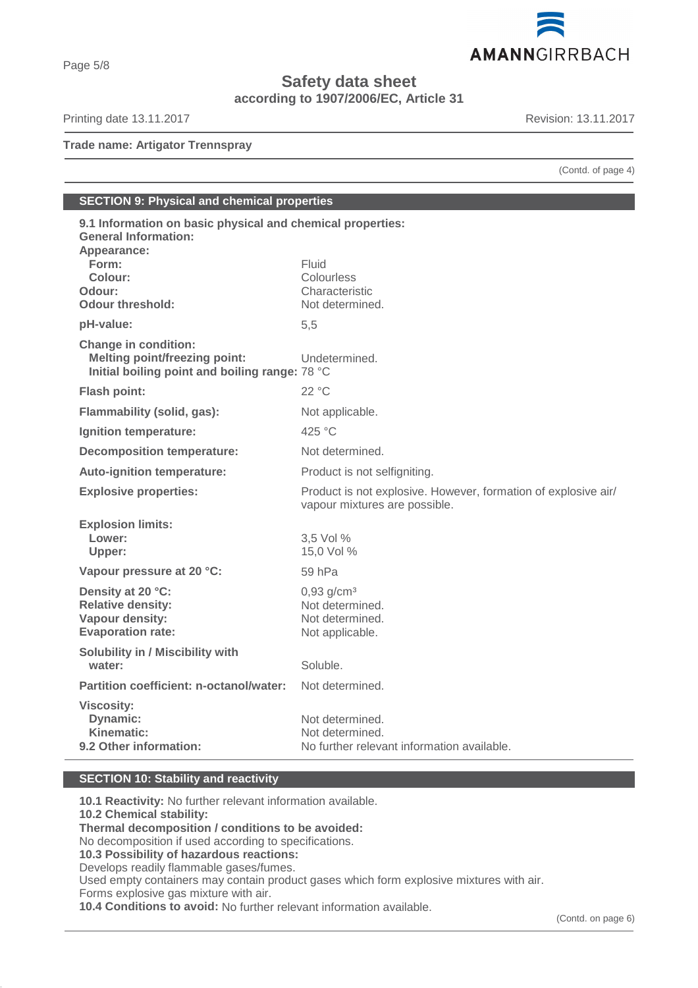

**Safety data sheet**

**according to 1907/2006/EC, Article 31**

Printing date 13.11.2017 **Revision: 13.11.2017** 

**Trade name: Artigator Trennspray**

(Contd. of page 4)

# **SECTION 9: Physical and chemical properties**

| 9.1 Information on basic physical and chemical properties:<br><b>General Information:</b>                             |                                                                |
|-----------------------------------------------------------------------------------------------------------------------|----------------------------------------------------------------|
| Appearance:                                                                                                           |                                                                |
| Form:                                                                                                                 | Fluid                                                          |
| Colour:                                                                                                               | Colourless                                                     |
| Odour:                                                                                                                | Characteristic                                                 |
| <b>Odour threshold:</b>                                                                                               | Not determined.                                                |
| pH-value:                                                                                                             | 5,5                                                            |
| <b>Change in condition:</b><br><b>Melting point/freezing point:</b><br>Initial boiling point and boiling range: 78 °C | Undetermined.                                                  |
| Flash point:                                                                                                          | 22 °C                                                          |
| Flammability (solid, gas):                                                                                            | Not applicable.                                                |
| Ignition temperature:                                                                                                 | 425 °C                                                         |
| <b>Decomposition temperature:</b>                                                                                     | Not determined.                                                |
| <b>Auto-ignition temperature:</b>                                                                                     | Product is not selfigniting.                                   |
| <b>Explosive properties:</b>                                                                                          | Product is not explosive. However, formation of explosive air/ |
|                                                                                                                       | vapour mixtures are possible.                                  |
|                                                                                                                       |                                                                |
| <b>Explosion limits:</b><br>Lower:                                                                                    | 3,5 Vol %                                                      |
| Upper:                                                                                                                | 15,0 Vol %                                                     |
| Vapour pressure at 20 °C:                                                                                             | 59 hPa                                                         |
|                                                                                                                       |                                                                |
| Density at 20 °C:                                                                                                     | $0,93$ g/cm <sup>3</sup><br>Not determined.                    |
| <b>Relative density:</b>                                                                                              | Not determined.                                                |
| Vapour density:<br><b>Evaporation rate:</b>                                                                           | Not applicable.                                                |
|                                                                                                                       |                                                                |
| <b>Solubility in / Miscibility with</b><br>water:                                                                     | Soluble.                                                       |
| Partition coefficient: n-octanol/water:                                                                               | Not determined.                                                |
| <b>Viscosity:</b>                                                                                                     |                                                                |
| <b>Dynamic:</b>                                                                                                       | Not determined.                                                |
| <b>Kinematic:</b><br>9.2 Other information:                                                                           | Not determined.<br>No further relevant information available.  |

## **SECTION 10: Stability and reactivity**

**10.1 Reactivity:** No further relevant information available. **10.2 Chemical stability: Thermal decomposition / conditions to be avoided:** No decomposition if used according to specifications. **10.3 Possibility of hazardous reactions:** Develops readily flammable gases/fumes. Used empty containers may contain product gases which form explosive mixtures with air. Forms explosive gas mixture with air.

**10.4 Conditions to avoid:** No further relevant information available.

## Page 5/8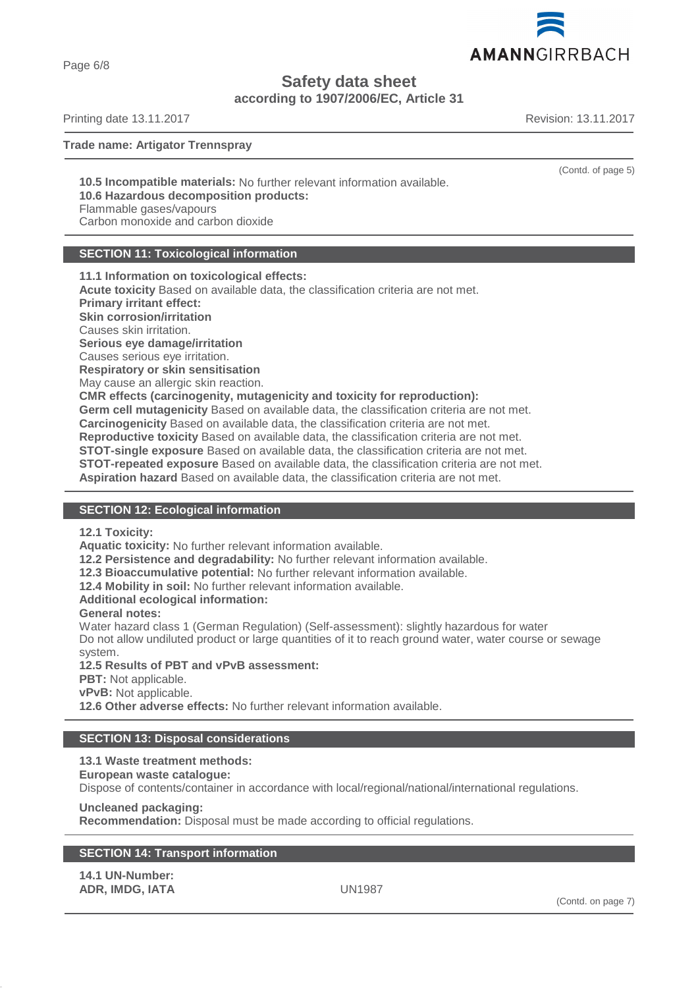AMANNGIRRBACH

**Safety data sheet**

**according to 1907/2006/EC, Article 31**

Printing date 13.11.2017 **Revision: 13.11.2017** Revision: 13.11.2017

Page 6/8

**Trade name: Artigator Trennspray**

**10.5 Incompatible materials:** No further relevant information available. **10.6 Hazardous decomposition products:**

Flammable gases/vapours

Carbon monoxide and carbon dioxide

## **SECTION 11: Toxicological information**

**11.1 Information on toxicological effects: Acute toxicity** Based on available data, the classification criteria are not met. **Primary irritant effect: Skin corrosion/irritation** Causes skin irritation. **Serious eye damage/irritation** Causes serious eye irritation. **Respiratory or skin sensitisation** May cause an allergic skin reaction. **CMR effects (carcinogenity, mutagenicity and toxicity for reproduction): Germ cell mutagenicity** Based on available data, the classification criteria are not met. **Carcinogenicity** Based on available data, the classification criteria are not met. **Reproductive toxicity** Based on available data, the classification criteria are not met. **STOT-single exposure** Based on available data, the classification criteria are not met. **STOT-repeated exposure** Based on available data, the classification criteria are not met. **Aspiration hazard** Based on available data, the classification criteria are not met.

## **SECTION 12: Ecological information**

**12.1 Toxicity:**

**Aquatic toxicity:** No further relevant information available.

**12.2 Persistence and degradability:** No further relevant information available.

**12.3 Bioaccumulative potential:** No further relevant information available.

**12.4 Mobility in soil:** No further relevant information available.

**Additional ecological information:**

## **General notes:**

Water hazard class 1 (German Regulation) (Self-assessment): slightly hazardous for water Do not allow undiluted product or large quantities of it to reach ground water, water course or sewage system.

**12.5 Results of PBT and vPvB assessment:**

**PBT:** Not applicable.

**vPvB:** Not applicable.

**12.6 Other adverse effects:** No further relevant information available.

## **SECTION 13: Disposal considerations**

## **13.1 Waste treatment methods:**

#### **European waste catalogue:**

Dispose of contents/container in accordance with local/regional/national/international regulations.

**Uncleaned packaging:**

**Recommendation:** Disposal must be made according to official regulations.

## **SECTION 14: Transport information**

**14.1 UN-Number: ADR, IMDG, IATA** UN1987



(Contd. of page 5)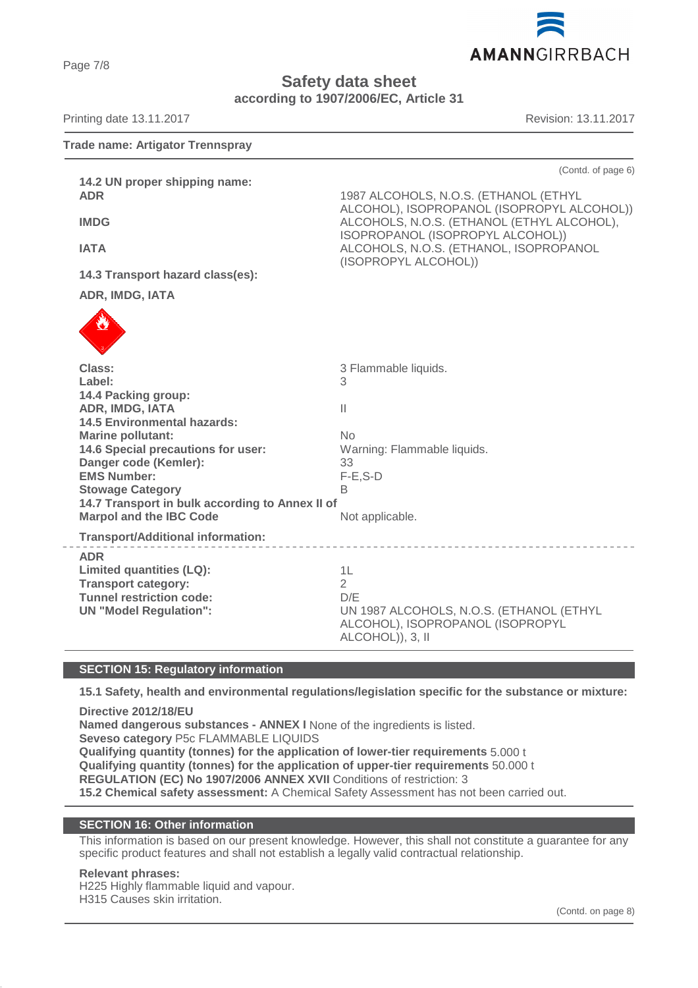AMANNGIRRBACH

**Safety data sheet**

**according to 1907/2006/EC, Article 31**

| Printing date 13.11.2017                                                                                                                                                                                                                                                                                                                                                      | Revision: 13.11.2017                                                                                                                                                                                                                                          |  |
|-------------------------------------------------------------------------------------------------------------------------------------------------------------------------------------------------------------------------------------------------------------------------------------------------------------------------------------------------------------------------------|---------------------------------------------------------------------------------------------------------------------------------------------------------------------------------------------------------------------------------------------------------------|--|
| <b>Trade name: Artigator Trennspray</b>                                                                                                                                                                                                                                                                                                                                       |                                                                                                                                                                                                                                                               |  |
| 14.2 UN proper shipping name:<br><b>ADR</b><br><b>IMDG</b><br><b>IATA</b><br>14.3 Transport hazard class(es):<br>ADR, IMDG, IATA                                                                                                                                                                                                                                              | (Contd. of page 6)<br>1987 ALCOHOLS, N.O.S. (ETHANOL (ETHYL<br>ALCOHOL), ISOPROPANOL (ISOPROPYL ALCOHOL))<br>ALCOHOLS, N.O.S. (ETHANOL (ETHYL ALCOHOL),<br>ISOPROPANOL (ISOPROPYL ALCOHOL))<br>ALCOHOLS, N.O.S. (ETHANOL, ISOPROPANOL<br>(ISOPROPYL ALCOHOL)) |  |
| Class:<br>Label:<br>14.4 Packing group:<br>ADR, IMDG, IATA<br><b>14.5 Environmental hazards:</b><br><b>Marine pollutant:</b><br>14.6 Special precautions for user:<br>Danger code (Kemler):<br><b>EMS Number:</b><br><b>Stowage Category</b><br>14.7 Transport in bulk according to Annex II of<br><b>Marpol and the IBC Code</b><br><b>Transport/Additional information:</b> | 3 Flammable liquids.<br>3<br>$\mathbb{I}$<br>No<br>Warning: Flammable liquids.<br>33<br>$F-E$ , $S-D$<br>В<br>Not applicable.                                                                                                                                 |  |
| <b>ADR</b><br><b>Limited quantities (LQ):</b><br><b>Transport category:</b><br><b>Tunnel restriction code:</b><br><b>UN "Model Regulation":</b>                                                                                                                                                                                                                               | _________________________<br>1L<br>$\overline{2}$<br>D/F<br>UN 1987 ALCOHOLS, N.O.S. (ETHANOL (ETHYL<br>ALCOHOL), ISOPROPANOL (ISOPROPYL<br>ALCOHOL)), 3, II                                                                                                  |  |

#### **SECTION 15: Regulatory information**

**15.1 Safety, health and environmental regulations/legislation specific for the substance or mixture:**

**Directive 2012/18/EU Named dangerous substances - ANNEX I** None of the ingredients is listed. **Seveso category** P5c FLAMMABLE LIQUIDS **Qualifying quantity (tonnes) for the application of lower-tier requirements** 5.000 t **Qualifying quantity (tonnes) for the application of upper-tier requirements** 50.000 t **REGULATION (EC) No 1907/2006 ANNEX XVII** Conditions of restriction: 3 **15.2 Chemical safety assessment:** A Chemical Safety Assessment has not been carried out.

#### **SECTION 16: Other information**

This information is based on our present knowledge. However, this shall not constitute a guarantee for any specific product features and shall not establish a legally valid contractual relationship.

#### **Relevant phrases:**

H225 Highly flammable liquid and vapour. H315 Causes skin irritation.

Page 7/8